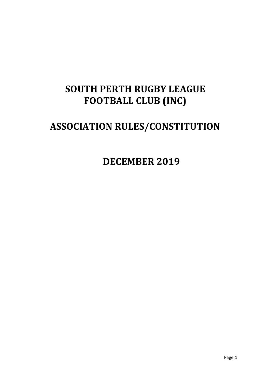# **SOUTH PERTH RUGBY LEAGUE FOOTBALL CLUB (INC)**

# **ASSOCIATION RULES/CONSTITUTION**

**DECEMBER 2019**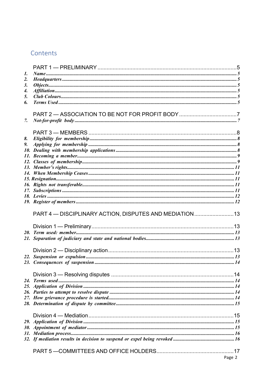# Contents

| 1. |                                                        |        |
|----|--------------------------------------------------------|--------|
| 2. |                                                        |        |
| 3. |                                                        |        |
| 4. |                                                        |        |
| 5. |                                                        |        |
| 6. |                                                        |        |
|    |                                                        |        |
|    |                                                        |        |
| 7. |                                                        |        |
|    |                                                        |        |
|    |                                                        |        |
| 8. |                                                        |        |
| 9. |                                                        |        |
|    |                                                        |        |
|    |                                                        |        |
|    |                                                        |        |
|    |                                                        |        |
|    |                                                        |        |
|    |                                                        |        |
|    |                                                        |        |
|    |                                                        |        |
|    |                                                        |        |
|    |                                                        |        |
|    | PART 4 - DISCIPLINARY ACTION, DISPUTES AND MEDIATION13 |        |
|    |                                                        |        |
|    |                                                        |        |
|    |                                                        |        |
|    |                                                        |        |
|    |                                                        |        |
|    |                                                        |        |
|    |                                                        |        |
|    |                                                        |        |
|    |                                                        |        |
|    |                                                        |        |
|    |                                                        |        |
|    |                                                        |        |
|    |                                                        |        |
|    |                                                        |        |
|    |                                                        |        |
|    |                                                        |        |
|    |                                                        |        |
|    |                                                        |        |
|    |                                                        |        |
|    |                                                        |        |
|    |                                                        |        |
|    |                                                        |        |
|    |                                                        | Page 2 |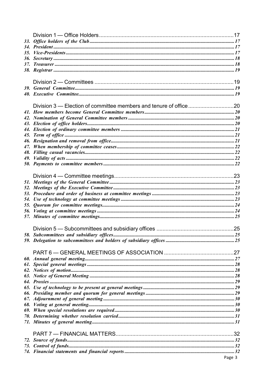| 33. |        |
|-----|--------|
|     |        |
|     |        |
|     |        |
|     |        |
|     |        |
|     |        |
|     |        |
|     |        |
|     |        |
|     |        |
|     |        |
|     |        |
|     |        |
| 45. |        |
|     |        |
| 47. |        |
|     |        |
|     |        |
|     |        |
|     |        |
|     |        |
|     |        |
|     |        |
|     |        |
|     |        |
|     |        |
|     |        |
|     |        |
|     |        |
|     |        |
|     |        |
|     |        |
|     |        |
|     |        |
|     |        |
|     |        |
|     |        |
|     |        |
|     |        |
|     |        |
|     |        |
|     |        |
|     |        |
|     |        |
|     |        |
|     |        |
|     | Page 3 |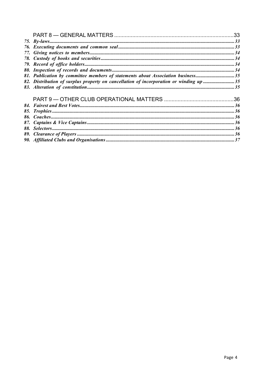| 81. Publication by committee members of statements about Association business35       |  |
|---------------------------------------------------------------------------------------|--|
| 82. Distribution of surplus property on cancellation of incorporation or winding up35 |  |
|                                                                                       |  |
|                                                                                       |  |
|                                                                                       |  |
|                                                                                       |  |
|                                                                                       |  |
|                                                                                       |  |
|                                                                                       |  |
|                                                                                       |  |
|                                                                                       |  |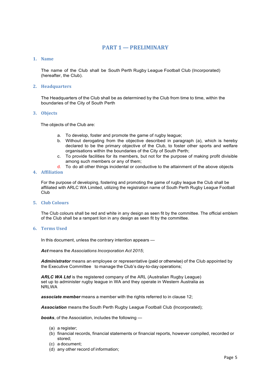# **PART 1 — PRELIMINARY**

## **1. Name**

The name of the Club shall be South Perth Rugby League Football Club (Incorporated) (hereafter, the Club).

## **2. Headquarters**

The Headquarters of the Club shall be as determined by the Club from time to time, within the boundaries of the City of South Perth

#### **3. Objects**

The objects of the Club are:

- a. To develop, foster and promote the game of rugby league;
- b. Without derogating from the objective described in paragraph (a), which is hereby declared to be the primary objective of the Club, to foster other sports and welfare organisations within the boundaries of the City of South Perth;
- c. To provide facilities for its members, but not for the purpose of making profit divisible among such members or any of them;
- d. To do all other things incidental or conductive to the attainment of the above objects

# **4. Affiliation**

For the purpose of developing, fostering and promoting the game of rugby league the Club shall be affiliated with ARLC WA Limited, utilizing the registration name of South Perth Rugby League Football Club

## **5. Club Colours**

The Club colours shall be red and white in any design as seen fit by the committee. The official emblem of the Club shall be a rampant lion in any design as seen fit by the committee.

## **6. Terms Used**

In this document, unless the contrary intention appears —

*Act* means the *Associations Incorporation Act 2015*;

*Administrator* means an employee or representative (paid or otherwise) of the Club appointed by the Executive Committee to manage the Club's day-to-day operations;

*ARLC WA Ltd* is the registered company of the ARL (Australian Rugby League) set up to administer rugby league in WA and they operate in Western Australia as NRLWA

*associate member* means a member with the rights referred to in clause 12;

*Association* means the South Perth Rugby League Football Club (Incorporated);

*books*, of the Association, includes the following —

- (a) a register;
- (b) financial records, financial statements or financial reports, however compiled, recorded or stored;
- (c) a document;
- (d) any other record of information;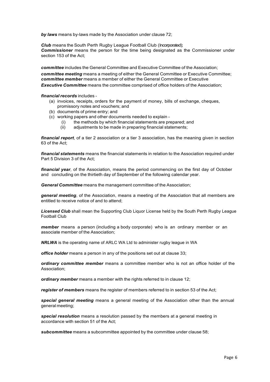*by laws* means by-laws made by the Association under clause 72;

**Club** means the South Perth Rugby League Football Club (Incorporated); *Commissioner* means the person for the time being designated as the Commissioner under section 153 of the Act;

*committee* includes the General Committee and Executive Committee of the Association; *committee meeting* means a meeting of either the General Committee or Executive Committee: *committee member* means a member of either the General Committee or Executive **Executive Committee** means the committee comprised of office holders of the Association:

#### *financial records* includes -

- (a) invoices, receipts, orders for the payment of money, bills of exchange, cheques, promissory notes and vouchers; and
- (b) documents of prime entry; and
- (c) working papers and other documents needed to explain
	- (i) the methods by which financial statements are prepared; and
	- (ii) adjustments to be made in preparing financial statements;

*financial report*, of a tier 2 association or a tier 3 association, has the meaning given in section 63 of the Act;

*financial statements* means the financial statements in relation to the Association required under Part 5 Division 3 of the Act;

*financial year*, of the Association, means the period commencing on the first day of October and concluding on the thirtieth day of September of the following calendar year.

*General Committee* means the management committee of the Association;

*general meeting*, of the Association, means a meeting of the Association that all members are entitled to receive notice of and to attend;

*Licensed Club* shall mean the Supporting Club Liquor License held by the South Perth Rugby League Football Club

*member* means a person (including a body corporate) who is an ordinary member or an associate member of the Association;

*NRLWA* is the operating name of ARLC WA Ltd to administer rugby league in WA

*office holder* means a person in any of the positions set out at clause 33;

*ordinary committee member* means a committee member who is not an office holder of the Association;

*ordinary member* means a member with the rights referred to in clause 12;

*register of members* means the register of members referred to in section 53 of the Act;

*special general meeting* means a general meeting of the Association other than the annual general meeting;

*special resolution* means a resolution passed by the members at a general meeting in accordance with section 51 of the Act;

*subcommittee* means a subcommittee appointed by the committee under clause 58;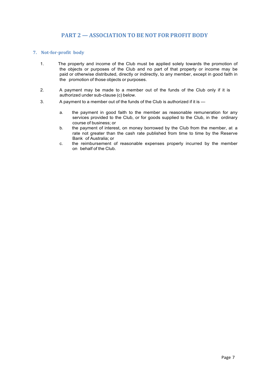# **PART 2 — ASSOCIATION TO BE NOT FOR PROFIT BODY**

# **7. Not-for-profit body**

- 1. The property and income of the Club must be applied solely towards the promotion of the objects or purposes of the Club and no part of that property or income may be paid or otherwise distributed, directly or indirectly, to any member, except in good faith in the promotion of those objects or purposes.
- 2. A payment may be made to a member out of the funds of the Club only if it is authorized under sub-clause (c) below.
- 3. A payment to a member out of the funds of the Club is authorized if it is
	- a. the payment in good faith to the member as reasonable remuneration for any services provided to the Club, or for goods supplied to the Club, in the ordinary course of business; or
	- b. the payment of interest, on money borrowed by the Club from the member, at a rate not greater than the cash rate published from time to time by the Reserve Bank of Australia; or
	- c. the reimbursement of reasonable expenses properly incurred by the member on behalf of the Club.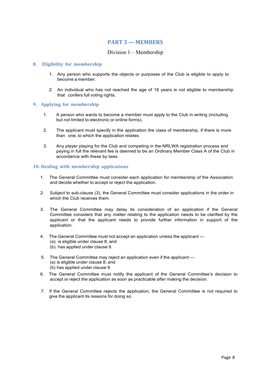# **PART 3 — MEMBERS**

# Division 1 – Membership

## **8. Eligibility for membership**

- 1. Any person who supports the objects or purposes of the Club is eligible to apply to become a member.
- 2. An individual who has not reached the age of 18 years is not eligible to membership that confers full voting rights.

#### **9. Applying for membership**

- 1. A person who wants to become a member must apply to the Club in writing (including but not limited to electronic or online forms).
- 2. The applicant must specify in the application the class of membership, if there is more than one, to which the application relates.
- 3. Any player playing for the Club and competing in the NRLWA registration process and paying in full the relevant fee is deemed to be an Ordinary Member Class A of the Club in accordance with these by laws

#### **10. Dealing with membership applications**

- 1. The General Committee must consider each application for membership of the Association and decide whether to accept or reject the application.
- 2. Subject to sub-clause (3), the General Committee must consider applications in the order in which the Club receives them.
- 3. The General Committee may delay its consideration of an application if the General Committee considers that any matter relating to the application needs to be clarified by the applicant or that the applicant needs to provide further information in support of the application.
- 4. The General Committee must not accept an application unless the applicant (a). is eligible under clause 8; and (b). has applied under clause 9.
- 5. The General Committee may reject an application even if the applicant (a) is eligible under clause 8; and (b) has applied under clause 9.
- 6. The General Committee must notify the applicant of the General Committee's decision to accept or reject the application as soon as practicable after making the decision.
- 7. If the General Committee rejects the application, the General Committee is not required to give the applicant its reasons for doing so.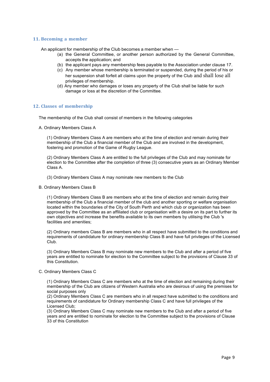#### **11. Becoming a member**

An applicant for membership of the Club becomes a member when —

- (a) the General Committee, or another person authorized by the General Committee, accepts the application; and
- (b) the applicant pays any membership fees payable to the Association under clause 17.
- (c) Any member whose membership is terminated or suspended, during the period of his or her suspension shall forfeit all claims upon the property of the Club and shall lose all privileges of membership.
- (d) Any member who damages or loses any property of the Club shall be liable for such damage or loss at the discretion of the Committee.

#### **12. Classes of membership**

The membership of the Club shall consist of members in the following categories

A. Ordinary Members Class A

(1) Ordinary Members Class A are members who at the time of election and remain during their membership of the Club a financial member of the Club and are involved in the development, fostering and promotion of the Game of Rugby League.

(2) Ordinary Members Class A are entitled to the full privileges of the Club and may nominate for election to the Committee after the completion of three (3) consecutive years as an Ordinary Member Class A.

- (3) Ordinary Members Class A may nominate new members to the Club
- B. Ordinary Members Class B

(1) Ordinary Members Class B are members who at the time of election and remain during their membership of the Club a financial member of the club and another sporting or welfare organisation located within the boundaries of the City of South Perth and which club or organization has been approved by the Committee as an affiliated club or organisation with a desire on its part to further its own objectives and increase the benefits available to its own members by utilising the Club 's facilities and amenities;

(2) Ordinary members Class B are members who in all respect have submitted to the conditions and requirements of candidature for ordinary membership Class B and have full privileges of the Licensed Club.

(3) Ordinary Members Class B may nominate new members to the Club and after a period of five years are entitled to nominate for election to the Committee subject to the provisions of Clause 33 of this Constitution.

#### C. Ordinary Members Class C

(1) Ordinary Members Class C are members who at the time of election and remaining during their membership of the Club are citizens of Western Australia who are desirous of using the premises for social purposes only

(2) Ordinary Members Class C are members who in all respect have submitted to the conditions and requirements of candidature for Ordinary membership Class C and have full privileges of the Licensed Club;

(3) Ordinary Members Class C may nominate new members to the Club and after a period of five years and are entitled to nominate for election to the Committee subject to the provisions of Clause 33 of this Constitution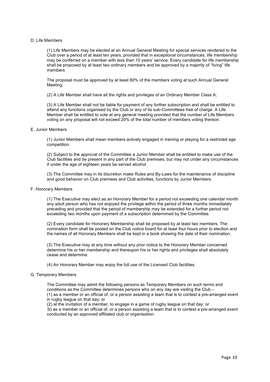#### D. Life Members

(1) Life Members may be elected at an Annual General Meeting for special services rendered to the Club over a period of at least ten years, provided that in exceptional circumstances, life membership may be conferred on a member with less than 10 years' service. Every candidate for life membership shall be proposed by at least two ordinary members and be approved by a majority of "living" life members

The proposal must be approved by at least 80% of the members voting at such Annual General Meeting

(2) A Life Member shall have all the rights and privileges of an Ordinary Member Class A;

(3) A Life Member shall not be liable for payment of any further subscription and shall be entitled to attend any functions organised by the Club or any of its sub-Committees free of charge. A Life Member shall be entitled to vote at any general meeting provided that the number of Life Members voting on any proposal will not exceed 20% of the total number of members voting thereon.

#### E. Junior Members

(1) Junior Members shall mean members actively engaged in training or playing for a restricted age competition.

(2) Subject to the approval of the Committee a Junior Member shall be entitled to make use of the Club facilities and be present in any part of the Club premises, but may not under any circumstances if under the age of eighteen years be served alcohol

(3) The Committee may in its discretion make Rules and By-Laws for the maintenance of discipline and good behavior on Club premises and Club activities, functions by Junior Members.

#### F. Honorary Members

(1) The Executive may elect as an Honorary Member for a period not exceeding one calendar month any adult person who has not enjoyed the privilege within the period of three months immediately preceding and provided that the period of membership may be extended for a further period not exceeding two months upon payment of a subscription determined by the Committee.

(2) Every candidate for Honorary Membership shall be proposed by at least two members. The nomination form shall be posted on the Club notice board for at least four hours prior to election and the names of all Honorary Members shall be kept in a book showing the date of their nomination.

(3) The Executive may at any time without any prior notice to the Honorary Member concerned determine his or her membership and thereupon his or her rights and privileges shall absolutely cease and determine.

(4) An Honorary Member may enjoy the full use of the Licensed Club facilities.

#### G. Temporary Members

The Committee may admit the following persons as Temporary Members on such terms and conditions as the Committee determines persons who on any day are visiting the Club – (1) as a member or an official of, or a person assisting a team that is to contest a pre-arranged event in rugby league on that day; or

(2) at the invitation of a member, to engage in a game of rugby league on that day; or 3i) as a member or an official of, or a person assisting a team that is to contest a pre-arranged event conducted by an approved affiliated club or organisation.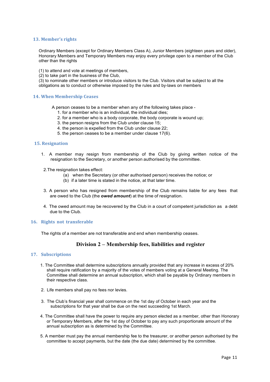#### 13. Member's rights

Ordinary Members (except for Ordinary Members Class A), Junior Members (eighteen years and older), Honorary Members and Temporary Members may enjoy every privilege open to a member of the Club other than the rights

(1) to attend and vote at meetings of members,

(2) to take part in the business of the Club,

(3) to nominate other members or introduce visitors to the Club. Visitors shall be subject to all the obligations as to conduct or otherwise imposed by the rules and by-laws on members

#### **14. When Membership Ceases**

A person ceases to be a member when any of the following takes place -

- 1. for a member who is an individual, the individual dies;
- 2. for a member who is a body corporate, the body corporate is wound up;
- 3. the person resigns from the Club under clause 15;
- 4. the person is expelled from the Club under clause 22;
- 5. the person ceases to be a member under clause 17(6).

#### **15. Resignation**

- 1. A member may resign from membership of the Club by giving written notice of the resignation to the Secretary, or another person authorised by the committee.
- 2.The resignation takes effect:
	- (a) when the Secretary (or other authorised person) receives the notice; or
	- (b) if a later time is stated in the notice, at that later time.
- 3. A person who has resigned from membership of the Club remains liable for any fees that are owed to the Club (the *owed amount*) at the time of resignation.
- 4. The owed amount may be recovered by the Club in a court of competent jurisdiction as a debt due to the Club.

# **16. Rights not transferable**

The rights of a member are not transferable and end when membership ceases.

# **Division 2 – Membership fees, liabilities and register**

## **17. Subscriptions**

- 1. The Committee shall determine subscriptions annually provided that any increase in excess of 20% shall require ratification by a majority of the votes of members voting at a General Meeting. The Committee shall determine an annual subscription, which shall be payable by Ordinary members in their respective class.
- 2. Life members shall pay no fees nor levies.
- 3. The Club's financial year shall commence on the 1st day of October in each year and the subscriptions for that year shall be due on the next succeeding 1st March.
- 4. The Committee shall have the power to require any person elected as a member, other than Honorary or Temporary Members, after the 1st day of October to pay any such proportionate amount of the annual subscription as is determined by the Committee.
- 5. A member must pay the annual membership fee to the treasurer, or another person authorised by the committee to accept payments, but the date (the due date) determined by the committee.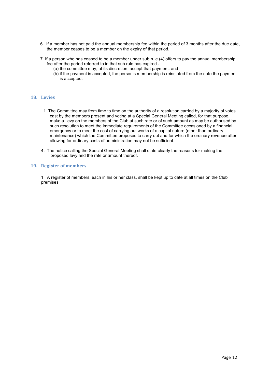- 6. If a member has not paid the annual membership fee within the period of 3 months after the due date, the member ceases to be a member on the expiry of that period.
- 7. If a person who has ceased to be a member under sub rule (4) offers to pay the annual membership fee after the period referred to in that sub rule has expired -
	- (a) the committee may, at its discretion, accept that payment: and
	- (b) if the payment is accepted, the person's membership is reinstated from the date the payment is accepted.

#### **18. Levies**

- 1. The Committee may from time to time on the authority of a resolution carried by a majority of votes cast by the members present and voting at a Special General Meeting called, for that purpose, make a. levy on the members of the Club at such rate or of such amount as may be authorised by such resolution to meet the immediate requirements of the Committee occasioned by a financial emergency or to meet the cost of carrying out works of a capital nature (other than ordinary maintenance) which the Committee proposes to carry out and for which the ordinary revenue after allowing for ordinary costs of administration may not be sufficient.
- 4. The notice calling the Special General Meeting shall state clearly the reasons for making the proposed levy and the rate or amount thereof.

#### **19.** Register of members

1. A register of members, each in his or her class, shall be kept up to date at all times on the Club premises.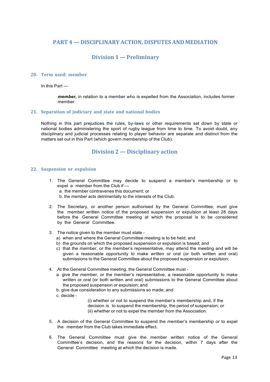# **PART 4 — DISCIPLINARY ACTION, DISPUTES AND MEDIATION**

# **Division 1 — Preliminary**

#### **20. Term used: member**

In this Part —

*member,* in relation to a member who is expelled from the Association, includes former member.

#### **21. Separation of judiciary and state and national bodies**

Nothing in this part prejudices the rules, by-laws or other requirements set down by state or national bodies administering the sport of rugby league from time to time. To avoid doubt, any disciplinary and judicial processes relating to player behavior are separate and distinct from the matters set out in this Part (which govern membership of the Club).

# **Division 2 — Disciplinary action**

#### **22. Suspension or expulsion**

- 1. The General Committee may decide to suspend a member's membership or to expel a member from the Club if a. the member contravenes this document; or b. the member acts detrimentally to the interests of the Club.
- 2. The Secretary, or another person authorised by the General Committee, must give the member written notice of the proposed suspension or expulsion at least 28 days before the General Committee meeting at which the proposal is to be considered by the General Committee.
- 3. The notice given to the member must state
	- a) when and where the General Committee meeting is to be held; and
	- b) the grounds on which the proposed suspension or expulsion is based; and
	- c) that the member, or the member's representative, may attend the meeting and will be given a reasonable opportunity to make written or oral (or both written and oral) submissions to the General Committee about the proposed suspension or expulsion;
- 4. At the General Committee meeting, the General Committee must
	- a. give the member, or the member's representative, a reasonable opportunity to make written or oral (or both written and oral) submissions to the General Committee about the proposed suspension or expulsion; and
	- b. give due consideration to any submissions so made; and
	- c. decide -

(i) whether or not to suspend the member's membership and, if the decision is to suspend the membership, the period of suspension; or (ii) whether or not to expel the member from the Association.

- 5. A decision of the General Committee to suspend the member's membership or to expel the member from the Club takes immediate effect.
- 6. The General Committee must give the member written notice of the General Committee's decision, and the reasons for the decision, within 7 days after the General Committee meeting at which the decision is made.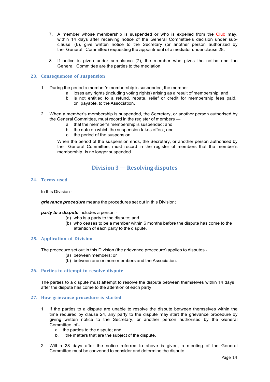- 7. A member whose membership is suspended or who is expelled from the Club may, within 14 days after receiving notice of the General Committee's decision under subclause (6), give written notice to the Secretary (or another person authorized by the General Committee) requesting the appointment of a mediator under clause 28.
- 8. If notice is given under sub-clause (7), the member who gives the notice and the General Committee are the parties to the mediation.

## **23. Consequences of suspension**

- 1. During the period a member's membership is suspended, the member
	- a. loses any rights (including voting rights) arising as a result of membership; and
		- b. is not entitled to a refund, rebate, relief or credit for membership fees paid, or payable, to the Association.
- 2. When a member's membership is suspended, the Secretary, or another person authorised by the General Committee, must record in the register of members
	- a. that the member's membership is suspended; and
	- b. the date on which the suspension takes effect; and
	- c. the period of the suspension.

When the period of the suspension ends, the Secretary, or another person authorised by the General Committee, must record in the register of members that the member's membership is no longer suspended.

# **Division 3 — Resolving disputes**

#### **24. Terms used**

In this Division -

*grievance procedure* means the procedures set out in this Division;

#### *party to a dispute* includes a person -

- (a) who is a party to the dispute; and
- (b) who ceases to be a member within 6 months before the dispute has come to the attention of each party to the dispute.

#### **25. Application of Division**

The procedure set out in this Division (the grievance procedure) applies to disputes -

- (a) between members; or
- (b) between one or more members and the Association.

#### **26. Parties to attempt to resolve dispute**

The parties to a dispute must attempt to resolve the dispute between themselves within 14 days after the dispute has come to the attention of each party.

#### **27. How grievance procedure is started**

- 1. If the parties to a dispute are unable to resolve the dispute between themselves within the time required by clause 24, any party to the dispute may start the grievance procedure by giving written notice to the Secretary, or another person authorised by the General Committee, of
	- a. the parties to the dispute; and
	- b. the matters that are the subject of the dispute.
- 2. Within 28 days after the notice referred to above is given, a meeting of the General Committee must be convened to consider and determine the dispute.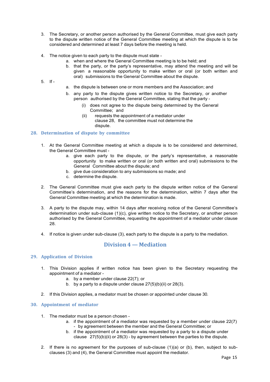- 3. The Secretary, or another person authorised by the General Committee, must give each party to the dispute written notice of the General Committee meeting at which the dispute is to be considered and determined at least 7 days before the meeting is held.
- 4. The notice given to each party to the dispute must state
	- a. when and where the General Committee meeting is to be held; and
		- b. that the party, or the party's representative, may attend the meeting and will be given a reasonable opportunity to make written or oral (or both written and oral) submissions to the General Committee about the dispute.
- 5. If -
- a. the dispute is between one or more members and the Association; and
- b. any party to the dispute gives written notice to the Secretary, or another person authorised by the General Committee, stating that the party -
	- (i) does not agree to the dispute being determined by the General Committee; and
	- (ii) requests the appointment of a mediator under clause 28, the committee must not determine the dispute.

## **28. Determination of dispute by committee**

- 1. At the General Committee meeting at which a dispute is to be considered and determined, the General Committee must
	- a. give each party to the dispute, or the party's representative, a reasonable opportunity to make written or oral (or both written and oral) submissions to the General Committee about the dispute; and
	- b. give due consideration to any submissions so made; and
	- c. determine the dispute.
- 2. The General Committee must give each party to the dispute written notice of the General Committee's determination, and the reasons for the determination, within 7 days after the General Committee meeting at which the determination is made.
- 3. A party to the dispute may, within 14 days after receiving notice of the General Committee's determination under sub-clause (1)(c), give written notice to the Secretary, or another person authorised by the General Committee, requesting the appointment of a mediator under clause 28.
- 4. If notice is given under sub-clause (3), each party to the dispute is a party to the mediation.

# **Division 4 — Mediation**

#### **29. Application of Division**

- 1. This Division applies if written notice has been given to the Secretary requesting the appointment of a mediator
	- a. by a member under clause 22(7); or
	- b. by a party to a dispute under clause  $27(5)(b)(ii)$  or  $28(3)$ .
- 2. If this Division applies, a mediator must be chosen or appointed under clause 30.

#### **30. Appointment of mediator**

- 1. The mediator must be a person chosen
	- a. if the appointment of a mediator was requested by a member under clause 22(7) - by agreement between the member and the General Committee; or
	- b. if the appointment of a mediator was requested by a party to a dispute under clause 27(5)(b)(ii) or 28(3) - by agreement between the parties to the dispute.
- 2. If there is no agreement for the purposes of sub-clause (1)(a) or (b), then, subject to subclauses (3) and (4), the General Committee must appoint the mediator.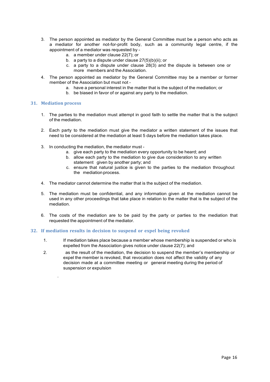- 3. The person appointed as mediator by the General Committee must be a person who acts as a mediator for another not-for-profit body, such as a community legal centre, if the appointment of a mediator was requested by
	- a. a member under clause 22(7); or
	- b. a party to a dispute under clause  $27(5)(b)(ii)$ ; or
	- c. a party to a dispute under clause 28(3) and the dispute is between one or more members and the Association.
- 4. The person appointed as mediator by the General Committee may be a member or former member of the Association but must not
	- a. have a personal interest in the matter that is the subject of the mediation; or
	- b. be biased in favor of or against any party to the mediation.

#### **31. Mediation process**

.

- 1. The parties to the mediation must attempt in good faith to settle the matter that is the subject of the mediation.
- 2. Each party to the mediation must give the mediator a written statement of the issues that need to be considered at the mediation at least 5 days before the mediation takes place.
- 3. In conducting the mediation, the mediator must
	- a. give each party to the mediation every opportunity to be heard; and
	- b. allow each party to the mediation to give due consideration to any written statement given by another party; and
	- c. ensure that natural justice is given to the parties to the mediation throughout the mediation process.
- 4. The mediator cannot determine the matter that is the subject of the mediation.
- 5. The mediation must be confidential, and any information given at the mediation cannot be used in any other proceedings that take place in relation to the matter that is the subject of the mediation.
- 6. The costs of the mediation are to be paid by the party or parties to the mediation that requested the appointment of the mediator.

#### **32. If mediation results in decision to suspend or expel being revoked**

- 1. If mediation takes place because a member whose membership is suspended or who is expelled from the Association gives notice under clause 22(7); and
- 2. as the result of the mediation, the decision to suspend the member's membership or expel the member is revoked, that revocation does not affect the validity of any decision made at a committee meeting or general meeting during the period of suspension or expulsion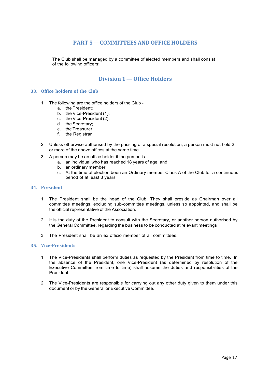# **PART 5 —COMMITTEES AND OFFICE HOLDERS**

The Club shall be managed by a committee of elected members and shall consist of the following officers;

# **Division 1— Office Holders**

## **33. Office holders of the Club**

- 1. The following are the office holders of the Club
	- a. the President;
	- b. the Vice-President (1);
	- c. the Vice-President (2);
	- d. the Secretary;
	- e. the Treasurer.
	- f. the Registrar
- 2. Unless otherwise authorised by the passing of a special resolution, a person must not hold 2 or more of the above offices at the same time.
- 3. A person may be an office holder if the person is
	- a. an individual who has reached 18 years of age; and
	- b. an ordinary member.
	- c. At the time of election been an Ordinary member Class A of the Club for a continuous period of at least 3 years

#### **34. President**

- 1. The President shall be the head of the Club. They shall preside as Chairman over all committee meetings, excluding sub-committee meetings, unless so appointed, and shall be the official representative of the Association.
- 2. It is the duty of the President to consult with the Secretary, or another person authorised by the General Committee, regarding the business to be conducted at relevant meetings
- 3. The President shall be an ex officio member of all committees.

#### **35. Vice-Presidents**

- 1. The Vice-Presidents shall perform duties as requested by the President from time to time. In the absence of the President, one Vice-President (as determined by resolution of the Executive Committee from time to time) shall assume the duties and responsibilities of the President.
- 2. The Vice-Presidents are responsible for carrying out any other duty given to them under this document or by the General or Executive Committee.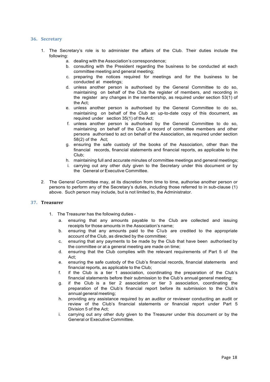#### **36. Secretary**

- 1. The Secretary's role is to administer the affairs of the Club. Their duties include the following:
	- a. dealing with the Association's correspondence;
	- b. consulting with the President regarding the business to be conducted at each committee meeting and general meeting;
	- c. preparing the notices required for meetings and for the business to be conducted at meetings;
	- d. unless another person is authorised by the General Committee to do so, maintaining on behalf of the Club the register of members, and recording in the register any changes in the membership, as required under section 53(1) of the Act;
	- e. unless another person is authorised by the General Committee to do so, maintaining on behalf of the Club an up-to-date copy of this document, as required under section 35(1) of the Act;
	- f. unless another person is authorised by the General Committee to do so, maintaining on behalf of the Club a record of committee members and other persons authorised to act on behalf of the Association, as required under section 58(2) of the Act;
	- g. ensuring the safe custody of the books of the Association, other than the financial records, financial statements and financial reports, as applicable to the Club;
	- h. maintaining full and accurate minutes of committee meetings and general meetings; i. carrying out any other duty given to the Secretary under this document or by the General or Executive Committee.
- 2. The General Committee may, at its discretion from time to time, authorise another person or persons to perform any of the Secretary's duties, including those referred to in sub-clause (1) above. Such person may include, but is not limited to, the Administrator.

#### **37. Treasurer**

- 1. The Treasurer has the following duties
	- a. ensuring that any amounts payable to the Club are collected and issuing receipts for those amounts in the Association's name;
	- b. ensuring that any amounts paid to the Club are credited to the appropriate account of the Club, as directed by the committee;
	- c. ensuring that any payments to be made by the Club that have been authorised by the committee or at a general meeting are made on time;
	- d. ensuring that the Club complies with the relevant requirements of Part 5 of the Act;
	- e. ensuring the safe custody of the Club's financial records, financial statements and financial reports, as applicable to the Club;
	- f. if the Club is a tier 1 association, coordinating the preparation of the Club's financial statements before their submission to the Club's annual general meeting;
	- g. if the Club is a tier 2 association or tier 3 association, coordinating the preparation of the Club's financial report before its submission to the Club's annual general meeting;
	- h. providing any assistance required by an auditor or reviewer conducting an audit or review of the Club's financial statements or financial report under Part 5 Division 5 of the Act;
	- i. carrying out any other duty given to the Treasurer under this document or by the General or Executive Committee.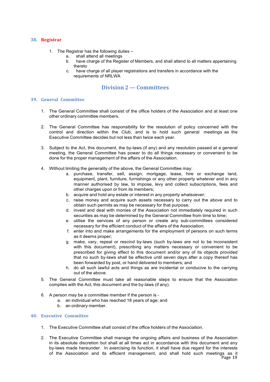#### **38. Registrar**

- 1. The Registrar has the following duties
	- a. shall attend all meetings
	- b. have charge of the Register of Members, and shall attend to all matters appertaining thereto
	- c. have charge of all player registrations and transfers in accordance with the requirements of NRLWA

# **Division 2 — Committees**

# **39. General Committee**

- 1. The General Committee shall consist of the office holders of the Association and at least one other ordinary committee members.
- 2. The General Committee has responsibility for the resolution of policy concerned with the control and direction within the Club, and is to hold such general meetings as the Executive Committee decides but not less than twice each year.
- 3. Subject to the Act, this document, the by-laws (if any) and any resolution passed at a general meeting, the General Committee has power to do all things necessary or convenient to be done for the proper management of the affairs of the Association.
- 4. Without limiting the generality of the above, the General Committee may:
	- a. purchase, transfer, sell, assign, mortgage, lease, hire or exchange land, equipment, plant, furniture, furnishings or any other property whatever and in any manner authorised by law, to impose, levy and collect subscriptions, fees and other charges upon or from its members;
	- b. acquire and hold any estate or interest in any property whatsoever;
	- c. raise money and acquire such assets necessary to carry out the above and to obtain such permits as may be necessary for that purpose;
	- d. invest and deal with monies of the Association not immediately required in such securities as may be determined by the General Committee from time to time;
	- e. utilise the services of any person or create any sub-committees considered necessary for the efficient conduct of the affairs of the Association;
	- f. enter into and make arrangements for the employment of persons on such terms as it deems proper;
	- g. make, vary, repeal or rescind by-laws (such by-laws are not to be inconsistent with this document), prescribing any matters necessary or convenient to be prescribed for giving effect to this document and/or any of its objects provided that no such by-laws shall be effective until seven days after a copy thereof has been forwarded by post, or hand delivered to members; and
	- h. do all such lawful acts and things as are incidental or conducive to the carrying out of the above.
- 5. The General Committee must take all reasonable steps to ensure that the Association complies with the Act, this document and the by-laws (if any).
- 6. A person may be a committee member if the person is
	- a. an individual who has reached 18 years of age; and
	- b. an ordinary member.

#### **40. Executive Committee**

- 1. The Executive Committee shall consist of the office holders of the Association.
- Page 19 2. The Executive Committee shall manage the ongoing affairs and business of the Association in its absolute discretion but shall at all times act in accordance with this document and any by-laws made hereunder. In exercising its function, it shall have due regard for the interests of the Association and its efficient management, and shall hold such meetings as it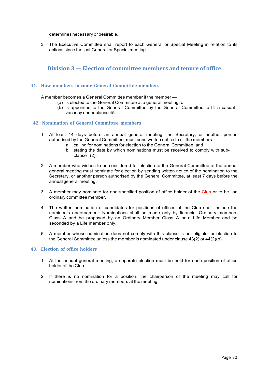determines necessary or desirable.

3. The Executive Committee shall report to each General or Special Meeting in relation to its actions since the last General or Special meeting.

# **Division 3 — Election of committee members and tenure of office**

# **41. How members become General Committee members**

A member becomes a General Committee member if the member —

- (a) is elected to the General Committee at a general meeting; or
- (b) is appointed to the General Committee by the General Committee to fill a casual vacancy under clause 45.

## **42. Nomination of General Committ**e**e members**

- 1. At least 14 days before an annual general meeting, the Secretary, or another person authorised by the General Committee, must send written notice to all the members
	- a. calling for nominations for election to the General Committee; and
	- b. stating the date by which nominations must be received to comply with subclause (2).
- 2. A member who wishes to be considered for election to the General Committee at the annual general meeting must nominate for election by sending written notice of the nomination to the Secretary, or another person authorised by the General Committee, at least 7 days before the annual general meeting.
- 3. A member may nominate for one specified position of office holder of the Club or to be an ordinary committee member.
- 4. The written nomination of candidates for positions of offices of the Club shall include the nominee's endorsement. Nominations shall be made only by financial Ordinary members Class A and be proposed by an Ordinary Member Class A or a Life Member and be seconded by a Life member only.
- 5. A member whose nomination does not comply with this clause is not eligible for election to the General Committee unless the member is nominated under clause 43(2) or 44(2)(b).

# **43. Election of office holders**

- 1. At the annual general meeting, a separate election must be held for each position of office holder of the Club.
- 2. If there is no nomination for a position, the chairperson of the meeting may call for nominations from the ordinary members at the meeting.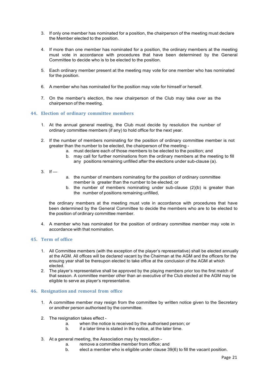- 3. If only one member has nominated for a position, the chairperson of the meeting must declare the Member elected to the position.
- 4. If more than one member has nominated for a position, the ordinary members at the meeting must vote in accordance with procedures that have been determined by the General Committee to decide who is to be elected to the position.
- 5. Each ordinary member present at the meeting may vote for one member who has nominated for the position.
- 6. A member who has nominated for the position may vote for himself or herself.
- 7. On the member's election, the new chairperson of the Club may take over as the chairperson of the meeting.

#### **44. Election of ordinary committee members**

- 1. At the annual general meeting, the Club must decide by resolution the number of ordinary committee members (if any) to hold office for the next year.
- 2. If the number of members nominating for the position of ordinary committee member is not greater than the number to be elected, the chairperson of the meeting
	- a. must declare each of those members to be elected to the position; and
	- b. may call for further nominations from the ordinary members at the meeting to fill any positions remaining unfilled after the elections under sub-clause (a).
- $3.$  If —
- a. the number of members nominating for the position of ordinary committee member is greater than the number to be elected; or
- b. the number of members nominating under sub-clause  $(2)(b)$  is greater than the number of positions remaining unfilled,

the ordinary members at the meeting must vote in accordance with procedures that have been determined by the General Committee to decide the members who are to be elected to the position of ordinary committee member.

4. A member who has nominated for the position of ordinary committee member may vote in accordance with that nomination.

#### **45. Term of office**

- 1. All Committee members (with the exception of the player's representative) shall be elected annually at the AGM. All offices will be declared vacant by the Chairman at the AGM and the officers for the ensuing year shall be thereupon elected to take office at the conclusion of the AGM at which elected.
- 2. The player's representative shall be approved by the playing members prior too the first match of that season. A committee member other than an executive of the Club elected at the AGM may be eligible to serve as player's representative.

#### **46. Resignation and removal from office**

- 1. A committee member may resign from the committee by written notice given to the Secretary or another person authorised by the committee.
- 2. The resignation takes effect
	- a. when the notice is received by the authorised person; or
	- b. if a later time is stated in the notice, at the later time.
- 3. At a general meeting, the Association may by resolution
	- a. remove a committee member from office; and
	- b. elect a member who is eligible under clause 39(6) to fill the vacant position.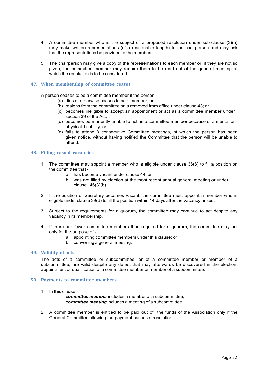- 4. A committee member who is the subject of a proposed resolution under sub-clause (3)(a) may make written representations (of a reasonable length) to the chairperson and may ask that the representations be provided to the members.
- 5. The chairperson may give a copy of the representations to each member or, if they are not so given, the committee member may require them to be read out at the general meeting at which the resolution is to be considered.

#### **47. When membership of committee ceases**

A person ceases to be a committee member if the person -

- (a) dies or otherwise ceases to be a member; or
- (b) resigns from the committee or is removed from office under clause 43; or
- (c) becomes ineligible to accept an appointment or act as a committee member under section 39 of the Act;
- (d) becomes permanently unable to act as a committee member because of a mental or physical disability; or
- (e) fails to attend 3 consecutive Committee meetings, of which the person has been given notice, without having notified the Committee that the person will be unable to attend.

#### **48. Filling casual vacancies**

- 1. The committee may appoint a member who is eligible under clause 36(6) to fill a position on the committee that
	- a. has become vacant under clause 44; or
	- b. was not filled by election at the most recent annual general meeting or under clause 46(3)(b).
- 2. If the position of Secretary becomes vacant, the committee must appoint a member who is eligible under clause 39(6) to fill the position within 14 days after the vacancy arises.
- 3. Subject to the requirements for a quorum, the committee may continue to act despite any vacancy in its membership.
- 4. If there are fewer committee members than required for a quorum, the committee may act only for the purpose of
	- a. appointing committee members under this clause; or
	- b. convening a general meeting.

#### **49. Validity of acts**

The acts of a committee or subcommittee, or of a committee member or member of a subcommittee, are valid despite any defect that may afterwards be discovered in the election, appointment or qualification of a committee member or member of a subcommittee.

#### **50. Payments to committee members**

1. In this clause -

*committee member* includes a member of a subcommittee; *committee meeting* includes a meeting of a subcommittee.

2. A committee member is entitled to be paid out of the funds of the Association only if the General Committee allowing the payment passes a resolution.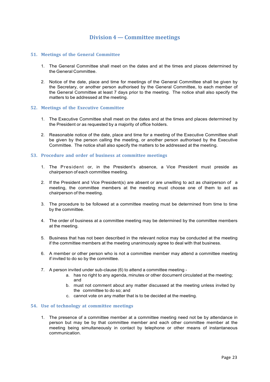# **Division 4 — Committee meetings**

#### **51. Meetings of the General Committee**

- 1. The General Committee shall meet on the dates and at the times and places determined by the General Committee.
- 2. Notice of the date, place and time for meetings of the General Committee shall be given by the Secretary, or another person authorised by the General Committee, to each member of the General Committee at least 7 days prior to the meeting. The notice shall also specify the matters to be addressed at the meeting.

## **52. Meetings of the Executive Committee**

- 1. The Executive Committee shall meet on the dates and at the times and places determined by the President or as requested by a majority of office holders.
- 2. Reasonable notice of the date, place and time for a meeting of the Executive Committee shall be given by the person calling the meeting, or another person authorised by the Executive Committee. The notice shall also specify the matters to be addressed at the meeting.

#### **53. Procedure and order of business at committee meetings**

- 1. The President or, in the President's absence, a Vice President must preside as chairperson of each committee meeting.
- 2. If the President and Vice President(s) are absent or are unwilling to act as chairperson of a meeting, the committee members at the meeting must choose one of them to act as chairperson of the meeting.
- 3. The procedure to be followed at a committee meeting must be determined from time to time by the committee.
- 4. The order of business at a committee meeting may be determined by the committee members at the meeting.
- 5. Business that has not been described in the relevant notice may be conducted at the meeting if the committee members at the meeting unanimously agree to deal with that business.
- 6. A member or other person who is not a committee member may attend a committee meeting if invited to do so by the committee.
- 7. A person invited under sub-clause (6) to attend a committee meeting
	- a. has no right to any agenda, minutes or other document circulated at the meeting; and
	- b. must not comment about any matter discussed at the meeting unless invited by the committee to do so; and
	- c. cannot vote on any matter that is to be decided at the meeting.

## **54. Use of technology at committee meetings**

1. The presence of a committee member at a committee meeting need not be by attendance in person but may be by that committee member and each other committee member at the meeting being simultaneously in contact by telephone or other means of instantaneous communication.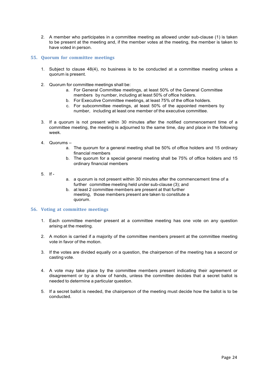2. A member who participates in a committee meeting as allowed under sub-clause (1) is taken to be present at the meeting and, if the member votes at the meeting, the member is taken to have voted in person.

## **55. Quorum for committee meetings**

- 1. Subject to clause 48(4), no business is to be conducted at a committee meeting unless a quorum is present.
- 2. Quorum for committee meetings shall be:
	- a. For General Committee meetings, at least 50% of the General Committee members by number, including at least 50% of office holders.
	- b. For Executive Committee meetings, at least 75% of the office holders.
	- c. For subcommittee meetings, at least 50% of the appointed members by number, including at least one member of the executive committee.
- 3. If a quorum is not present within 30 minutes after the notified commencement time of a committee meeting, the meeting is adjourned to the same time, day and place in the following week.
- $4.$  Quorums
	- a. The quorum for a general meeting shall be 50% of office holders and 15 ordinary financial members
	- b. The quorum for a special general meeting shall be 75% of office holders and 15 ordinary financial members
- 5. If -
- a. a quorum is not present within 30 minutes after the commencement time of a further committee meeting held under sub-clause (3); and
- b. at least 2 committee members are present at that further meeting, those members present are taken to constitute a quorum.

# **56. Voting at committee meetings**

- 1. Each committee member present at a committee meeting has one vote on any question arising at the meeting.
- 2. A motion is carried if a majority of the committee members present at the committee meeting vote in favor of the motion.
- 3. If the votes are divided equally on a question, the chairperson of the meeting has a second or casting vote.
- 4. A vote may take place by the committee members present indicating their agreement or disagreement or by a show of hands, unless the committee decides that a secret ballot is needed to determine a particular question.
- 5. If a secret ballot is needed, the chairperson of the meeting must decide how the ballot is to be conducted.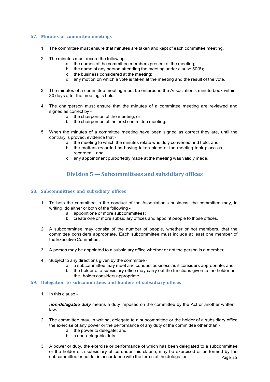# **57. Minutes of committee meetings**

- 1. The committee must ensure that minutes are taken and kept of each committee meeting.
- 2. The minutes must record the following
	- a. the names of the committee members present at the meeting;
	- b. the name of any person attending the meeting under clause 50(6);
		- c. the business considered at the meeting;
		- d. any motion on which a vote is taken at the meeting and the result of the vote.
- 3. The minutes of a committee meeting must be entered in the Association's minute book within 30 days after the meeting is held.
- 4. The chairperson must ensure that the minutes of a committee meeting are reviewed and signed as correct by
	- a. the chairperson of the meeting; or
	- b. the chairperson of the next committee meeting.
- 5. When the minutes of a committee meeting have been signed as correct they are, until the contrary is proved, evidence that
	- a. the meeting to which the minutes relate was duly convened and held; and
	- b. the matters recorded as having taken place at the meeting took place as recorded; and
	- c. any appointment purportedly made at the meeting was validly made.

# **Division 5 — Subcommittees and subsidiary offices**

# **58. Subcommittees and subs**i**diary offices**

- 1. To help the committee in the conduct of the Association's business, the committee may, in writing, do either or both of the following
	- a. appoint one or more subcommittees;
	- b. create one or more subsidiary offices and appoint people to those offices.
- 2. A subcommittee may consist of the number of people, whether or not members, that the committee considers appropriate. Each subcommittee must include at least one member of the Executive Committee.
- 3. A person may be appointed to a subsidiary office whether or not the person is a member.
- 4. Subject to any directions given by the committee
	- a. a subcommittee may meet and conduct business as it considers appropriate; and
	- b. the holder of a subsidiary office may carry out the functions given to the holder as the holder considers appropriate.
- **59. Delegation to subcommittees and holders of subsidiary offices**
	- 1. In this clause -

*non-delegable duty* means a duty imposed on the committee by the Act or another written law.

- 2. The committee may, in writing, delegate to a subcommittee or the holder of a subsidiary office the exercise of any power or the performance of any duty of the committee other than
	- a. the power to delegate; and
	- b. a non-delegable duty.
- Page 25 3. A power or duty, the exercise or performance of which has been delegated to a subcommittee or the holder of a subsidiary office under this clause, may be exercised or performed by the subcommittee or holder in accordance with the terms of the delegation.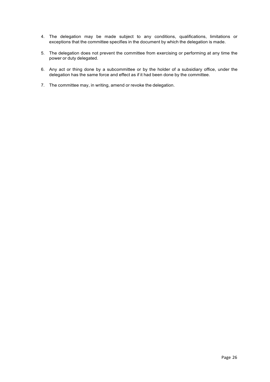- 4. The delegation may be made subject to any conditions, qualifications, limitations or exceptions that the committee specifies in the document by which the delegation is made.
- 5. The delegation does not prevent the committee from exercising or performing at any time the power or duty delegated.
- 6. Any act or thing done by a subcommittee or by the holder of a subsidiary office, under the delegation has the same force and effect as if it had been done by the committee.
- 7. The committee may, in writing, amend or revoke the delegation.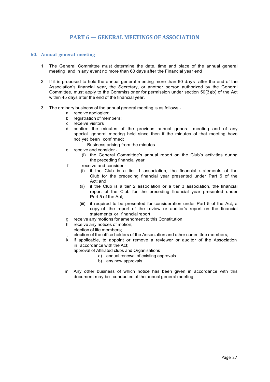# **PART 6 — GENERAL MEETINGS OF ASSOCIATION**

#### **60. Annual general meeting**

- 1. The General Committee must determine the date, time and place of the annual general meeting, and in any event no more than 60 days after the Financial year end
- 2. If it is proposed to hold the annual general meeting more than 60 days after the end of the Association's financial year, the Secretary, or another person authorized by the General Committee, must apply to the Commissioner for permission under section 50(3)(b) of the Act within 45 days after the end of the financial year.
- 3. The ordinary business of the annual general meeting is as follows
	- a. receive apologies;
	- b. registration of members;
	- c. receive visitors
	- d. confirm the minutes of the previous annual general meeting and of any special general meeting held since then if the minutes of that meeting have not yet been confirmed;
		- Business arising from the minutes
	- e. receive and consider
		- (i) the General Committee's annual report on the Club's activities during the preceding financial year
	- f. receive and consider
		- (i) if the Club is a tier 1 association, the financial statements of the Club for the preceding financial year presented under Part 5 of the Act; and
		- (ii) if the Club is a tier 2 association or a tier 3 association, the financial report of the Club for the preceding financial year presented under Part 5 of the Act;
		- (iii) if required to be presented for consideration under Part 5 of the Act, a copy of the report of the review or auditor's report on the financial statements or financial report:
	- g. receive any motions for amendment to this Constitution;
	- h. receive any notices of motion;
	- i. election of life members;
	- j. election of the office holders of the Association and other committee members;
	- k. if applicable, to appoint or remove a reviewer or auditor of the Association in accordance with the Act;
	- l. approval of Affiliated clubs and Organisations
		- a) annual renewal of existing approvals
		- b) any new approvals
	- m. Any other business of which notice has been given in accordance with this document may be conducted at the annual general meeting.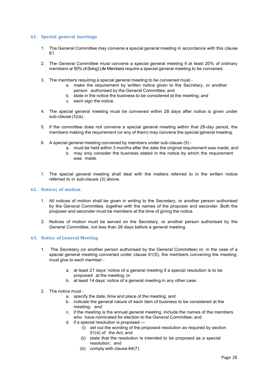## **61. Special general meetings**

- 1. The General Committee may convene a special general meeting in accordance with this clause 61.
- 2. The General Committee must convene a special general meeting if at least 20% of ordinary members or 50% of (living) Life Members require a special general meeting to be convened.
- 3. The members requiring a special general meeting to be convened must
	- a. make the requirement by written notice given to the Secretary, or another person authorised by the General Committee; and
	- b. state in the notice the business to be considered at the meeting; and
	- c. each sign the notice.
- 4. The special general meeting must be convened within 28 days after notice is given under sub-clause (3)(a).
- 5. If the committee does not convene a special general meeting within that 28-day period, the members making the requirement (or any of them) may convene the special general meeting.
- 6. A special general meeting convened by members under sub-clause (5)
	- a. must be held within 3 months after the date the original requirement was made; and
		- b. may only consider the business stated in the notice by which the requirement was made.
- 7. The special general meeting shall deal with the matters referred to in the written notice referred to in sub-clause (3) above.

#### **62. Notices of motion**

- 1. All notices of motion shall be given in writing to the Secretary, or another person authorised by the General Committee, together with the names of the proposer and seconder. Both the proposer and seconder must be members at the time of giving the notice.
- 2. Notices of motion must be served on the Secretary, or another person authorised by the General Committee, not less than 28 days before a general meeting.

## **63. Notice of General Meeting**

- 1. The Secretary (or another person authorised by the General Committee) or, in the case of a special general meeting convened under clause 61(5), the members convening the meeting, must give to each member
	- a. at least 21 days' notice of a general meeting if a special resolution is to be proposed at the meeting; or
	- b. at least 14 days' notice of a general meeting in any other case.
- 2. The notice must
	- a. specify the date, time and place of the meeting; and
	- b. indicate the general nature of each item of business to be considered at the meeting; and
	- c. if the meeting is the annual general meeting, include the names of the members who have nominated for election to the General Committee; and
	- d. if a special resolution is proposed
		- (i) set out the wording of the proposed resolution as required by section 51(4) of the Act; and
		- (ii) state that the resolution is intended to be proposed as a special resolution; and
		- (iii) comply with clause 64(7).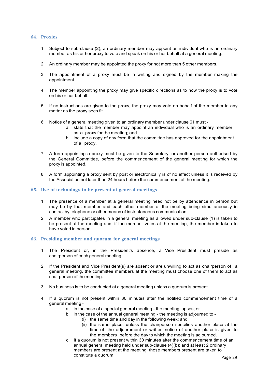#### **64. Proxies**

- 1. Subject to sub-clause (2), an ordinary member may appoint an individual who is an ordinary member as his or her proxy to vote and speak on his or her behalf at a general meeting.
- 2. An ordinary member may be appointed the proxy for not more than 5 other members.
- 3. The appointment of a proxy must be in writing and signed by the member making the appointment.
- 4. The member appointing the proxy may give specific directions as to how the proxy is to vote on his or her behalf.
- 5. If no instructions are given to the proxy, the proxy may vote on behalf of the member in any matter as the proxy sees fit.
- 6. Notice of a general meeting given to an ordinary member under clause 61 must
	- a. state that the member may appoint an individual who is an ordinary member as a proxy for the meeting; and
	- b. include a copy of any form that the committee has approved for the appointment of a proxy.
- 7. A form appointing a proxy must be given to the Secretary, or another person authorised by the General Committee, before the commencement of the general meeting for which the proxy is appointed.
- 8. A form appointing a proxy sent by post or electronically is of no effect unless it is received by the Association not later than 24 hours before the commencement of the meeting.

#### **65. Use of technology to be present at general meetings**

- 1. The presence of a member at a general meeting need not be by attendance in person but may be by that member and each other member at the meeting being simultaneously in contact by telephone or other means of instantaneous communication.
- 2. A member who participates in a general meeting as allowed under sub-clause (1) is taken to be present at the meeting and, if the member votes at the meeting, the member is taken to have voted in person.

#### **66. Presiding member and quorum for general meetings**

- 1. The President or, in the President's absence, a Vice President must preside as chairperson of each general meeting.
- 2. If the President and Vice President(s) are absent or are unwilling to act as chairperson of a general meeting, the committee members at the meeting must choose one of them to act as chairperson of the meeting.
- 3. No business is to be conducted at a general meeting unless a quorum is present.
- 4. If a quorum is not present within 30 minutes after the notified commencement time of a general meeting
	- a. in the case of a special general meeting the meeting lapses; or
	- b. in the case of the annual general meeting the meeting is adjourned to
		- (i) the same time and day in the following week; and
		- (ii) the same place, unless the chairperson specifies another place at the time of the adjournment or written notice of another place is given to the members before the day to which the meeting is adjourned.
	- c. If a quorum is not present within 30 minutes after the commencement time of an annual general meeting held under sub-clause (4)(b); and at least 2 ordinary members are present at the meeting, those members present are taken to constitute a quorum.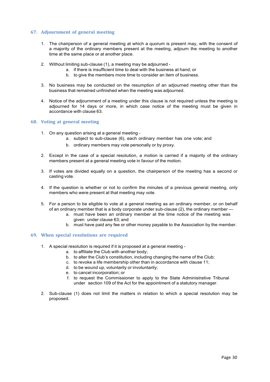# **67. Adjournment of general meeting**

- 1. The chairperson of a general meeting at which a quorum is present may, with the consent of a majority of the ordinary members present at the meeting, adjourn the meeting to another time at the same place or at another place.
- 2. Without limiting sub-clause (1), a meeting may be adjourned
	- a. if there is insufficient time to deal with the business at hand; or
	- b. to give the members more time to consider an item of business.
- 3. No business may be conducted on the resumption of an adjourned meeting other than the business that remained unfinished when the meeting was adjourned.
- 4. Notice of the adjournment of a meeting under this clause is not required unless the meeting is adjourned for 14 days or more, in which case notice of the meeting must be given in accordance with clause 63.

# **68. Voting at general meeting**

- 1. On any question arising at a general meeting
	- a. subject to sub-clause (6), each ordinary member has one vote; and
	- b. ordinary members may vote personally or by proxy.
- 2. Except in the case of a special resolution, a motion is carried if a majority of the ordinary members present at a general meeting vote in favour of the motion.
- 3. If votes are divided equally on a question, the chairperson of the meeting has a second or casting vote.
- 4. If the question is whether or not to confirm the minutes of a previous general meeting, only members who were present at that meeting may vote.
- 5. For a person to be eligible to vote at a general meeting as an ordinary member, or on behalf of an ordinary member that is a body corporate under sub-clause (2), the ordinary member
	- a. must have been an ordinary member at the time notice of the meeting was given under clause 63; and
	- b. must have paid any fee or other money payable to the Association by the member.

#### **69. When special resolutions are required**

- 1. A special resolution is required if it is proposed at a general meeting
	- a. to affiliate the Club with another body;
		- b. to alter the Club's constitution, including changing the name of the Club;
	- c. to revoke a life membership other than in accordance with clause 11;
	- d. to be wound up, voluntarily or involuntarily;
	- e. to cancel incorporation; or
	- f. to request the Commissioner to apply to the State Administrative Tribunal under section 109 of the Act for the appointment of a statutory manager.
- 2. Sub-clause (1) does not limit the matters in relation to which a special resolution may be proposed.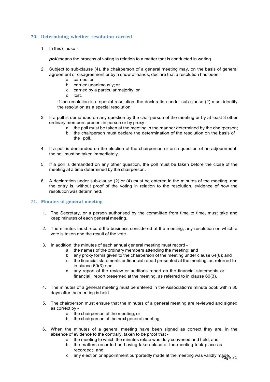# **70. Determining whether resolution carried**

1. In this clause -

*poll* means the process of voting in relation to a matter that is conducted in writing.

- 2. Subject to sub-clause (4), the chairperson of a general meeting may, on the basis of general agreement or disagreement or by a show of hands, declare that a resolution has been
	- a. carried; or
	- b. carried unanimously; or
	- c. carried by a particular majority; or
	- d. lost.

If the resolution is a special resolution, the declaration under sub-clause (2) must identify the resolution as a special resolution.

- 3. If a poll is demanded on any question by the chairperson of the meeting or by at least 3 other ordinary members present in person or by proxy
	- a. the poll must be taken at the meeting in the manner determined by the chairperson;
	- b. the chairperson must declare the determination of the resolution on the basis of the poll.
- 4. If a poll is demanded on the election of the chairperson or on a question of an adjournment, the poll must be taken immediately.
- 5. If a poll is demanded on any other question, the poll must be taken before the close of the meeting at a time determined by the chairperson.
- 6. A declaration under sub-clause (2) or (4) must be entered in the minutes of the meeting, and the entry is, without proof of the voting in relation to the resolution, evidence of how the resolution was determined.

# **71. Minutes of general meeting**

- 1. The Secretary, or a person authorised by the committee from time to time, must take and keep minutes of each general meeting.
- 2. The minutes must record the business considered at the meeting, any resolution on which a vote is taken and the result of the vote.
- 3. In addition, the minutes of each annual general meeting must record
	- a. the names of the ordinary members attending the meeting; and
	- b. any proxy forms given to the chairperson of the meeting under clause 64(8); and
	- c. the financial statements or financial report presented at the meeting; as referred to in clause 60(3) and
	- d. any report of the review or auditor's report on the financial statements or financial report presented at the meeting, as referred to in clause 60(3).
- 4. The minutes of a general meeting must be entered in the Association's minute book within 30 days after the meeting is held.
- 5. The chairperson must ensure that the minutes of a general meeting are reviewed and signed as correct by
	- a. the chairperson of the meeting; or
	- b. the chairperson of the next general meeting.
- 6. When the minutes of a general meeting have been signed as correct they are, in the absence of evidence to the contrary, taken to be proof that
	- a. the meeting to which the minutes relate was duly convened and held; and
	- b. the matters recorded as having taken place at the meeting took place as recorded; and
	- c. any election or appointment purportedly made at the meeting was validly made.  $31$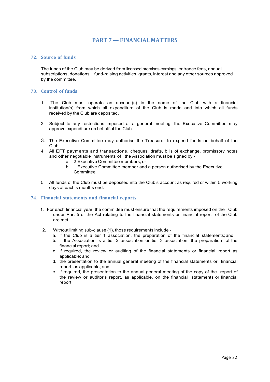# **PART 7 — FINANCIAL MATTERS**

## **72. Source of funds**

The funds of the Club may be derived from licensed premises earnings, entrance fees, annual subscriptions, donations, fund-raising activities, grants, interest and any other sources approved by the committee.

# **73. Control of funds**

- 1. The Club must operate an account(s) in the name of the Club with a financial institution(s) from which all expenditure of the Club is made and into which all funds received by the Club are deposited.
- 2. Subject to any restrictions imposed at a general meeting, the Executive Committee may approve expenditure on behalf of the Club.
- 3. The Executive Committee may authorise the Treasurer to expend funds on behalf of the Club
- 4. All EFT payments and transactions, cheques, drafts, bills of exchange, promissory notes and other negotiable instruments of the Association must be signed by
	- a. 2 Executive Committee members; or
	- b. 1 Executive Committee member and a person authorised by the Executive **Committee**
- 5. All funds of the Club must be deposited into the Club's account as required or within 5 working days of each's months end.

#### **74. Financial statements and financial reports**

- 1. For each financial year, the committee must ensure that the requirements imposed on the Club under Part 5 of the Act relating to the financial statements or financial report of the Club are met.
- 2. Without limiting sub-clause (1), those requirements include
	- a. if the Club is a tier 1 association, the preparation of the financial statements; and
	- b. if the Association is a tier 2 association or tier 3 association, the preparation of the financial report; and
	- c. if required, the review or auditing of the financial statements or financial report, as applicable; and
	- d. the presentation to the annual general meeting of the financial statements or financial report, as applicable; and
	- e. if required, the presentation to the annual general meeting of the copy of the report of the review or auditor's report, as applicable, on the financial statements or financial report.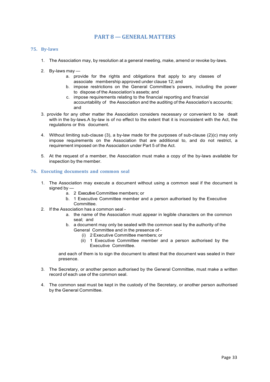# **PART 8 — GENERAL MATTERS**

## **75. By-laws**

- 1. The Association may, by resolution at a general meeting, make, amend or revoke by-laws.
- 2. By-laws may
	- a. provide for the rights and obligations that apply to any classes of associate membership approved under clause 12; and
	- b. impose restrictions on the General Committee's powers, including the power to dispose of the Association's assets; and
	- c. impose requirements relating to the financial reporting and financial accountability of the Association and the auditing of the Association's accounts; and
- 3. provide for any other matter the Association considers necessary or convenient to be dealt with in the by-laws.A by-law is of no effect to the extent that it is inconsistent with the Act, the regulations or this document.
- 4. Without limiting sub-clause (3), a by-law made for the purposes of sub-clause (2)(c) may only impose requirements on the Association that are additional to, and do not restrict, a requirement imposed on the Association under Part 5 of the Act.
- 5. At the request of a member, the Association must make a copy of the by-laws available for inspection by the member.

#### **76. Executing documents and common seal**

- 1. The Association may execute a document without using a common seal if the document is signed by  $$ 
	- a. 2 Executive Committee members; or
	- b. 1 Executive Committee member and a person authorised by the Executive Committee.
- 2. If the Association has a common seal
	- a. the name of the Association must appear in legible characters on the common seal; and
	- b. a document may only be sealed with the common seal by the authority of the General Committee and in the presence of -
		- (i) 2 Executive Committee members; or
		- (ii) 1 Executive Committee member and a person authorised by the Executive Committee.

and each of them is to sign the document to attest that the document was sealed in their presence.

- 3. The Secretary, or another person authorised by the General Committee, must make a written record of each use of the common seal.
- 4. The common seal must be kept in the custody of the Secretary, or another person authorised by the General Committee.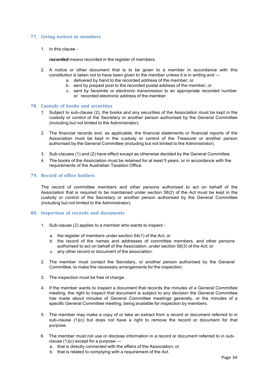## **77. Giving notices to members**

1. In this clause -

*recorded means* recorded in the register of members.

- 2. A notice or other document that is to be given to a member in accordance with this constitution is taken not to have been given to the member unless it is in writing and
	- a. delivered by hand to the recorded address of the member; or
	- b. sent by prepaid post to the recorded postal address of the member; or
	- c. sent by facsimile or electronic transmission to an appropriate recorded number or recorded electronic address of the member.

#### **78. Custody of books and securities**

- 1. Subject to sub-clause (2), the books and any securities of the Association must be kept in the custody or control of the Secretary or another person authorised by the General Committee (including but not limited to the Administrator).
- 2. The financial records and, as applicable, the financial statements or financial reports of the Association must be kept in the custody or control of the Treasurer or another person authorised by the General Committee (including but not limited to the Administrator).
- 3. Sub-clauses (1) and (2) have effect except as otherwise decided by the General Committee.
- 4. The books of the Association must be retained for at least 5 years, or in accordance with the requirements of the Australian Taxation Office.

#### **79. Record of office holders**

The record of committee members and other persons authorised to act on behalf of the Association that is required to be maintained under section 58(2) of the Act must be kept in the custody or control of the Secretary or another person authorised by the General Committee (including but not limited to the Administrator).

#### **80. Inspection of records and documents**

- 1. Sub-clause (2) applies to a member who wants to inspect
	- a. the register of members under section 54(1) of the Act; or
	- b. the record of the names and addresses of committee members, and other persons authorised to act on behalf of the Association, under section 58(3) of the Act; or
	- c. any other record or document of the association.
- 2. The member must contact the Secretary, or another person authorised by the General Committee, to make the necessary arrangements for the inspection.
- 3. The inspection must be free of charge.
- 4. If the member wants to inspect a document that records the minutes of a General Committee meeting, the right to inspect that document is subject to any decision the General Committee has made about minutes of General Committee meetings generally, or the minutes of a specific General Committee meeting, being available for inspection by members.
- 5. The member may make a copy of or take an extract from a record or document referred to in sub-clause (1)(c) but does not have a right to remove the record or document for that purpose.
- 6. The member must not use or disclose information in a record or document referred to in subclause (1)(c) except for a purpose
	- a. that is directly connected with the affairs of the Association; or
	- b. that is related to complying with a requirement of the Act.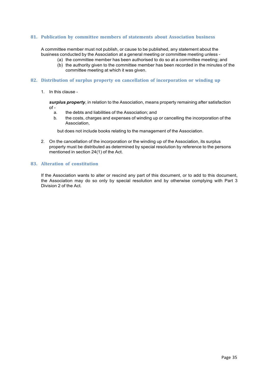## **81. Publication by committee members of statements about Association business**

A committee member must not publish, or cause to be published, any statement about the business conducted by the Association at a general meeting or committee meeting unless -

- (a) the committee member has been authorised to do so at a committee meeting; and
	- (b) the authority given to the committee member has been recorded in the minutes of the committee meeting at which it was given.

#### **82. Distribution of surplus property on cancellation of incorporation or winding up**

1. In this clause -

*surplus property*, in relation to the Association, means property remaining after satisfaction  $of -$ 

- a. the debts and liabilities of the Association; and
- b. the costs, charges and expenses of winding up or cancelling the incorporation of the Association,

but does not include books relating to the management of the Association.

2. On the cancellation of the incorporation or the winding up of the Association, its surplus property must be distributed as determined by special resolution by reference to the persons mentioned in section 24(1) of the Act.

#### **83. Alteration of constitution**

If the Association wants to alter or rescind any part of this document, or to add to this document, the Association may do so only by special resolution and by otherwise complying with Part 3 Division 2 of the Act.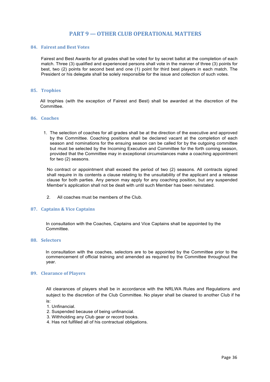# **PART 9 — OTHER CLUB OPERATIONAL MATTERS**

## **84.** Fairest and Best Votes

Fairest and Best Awards for all grades shall be voted for by secret ballot at the completion of each match. Three (3) qualified and experienced persons shall vote in the manner of three (3) points for best, two (2) points for second best and one (1) point for third best players in each match. The President or his delegate shall be solely responsible for the issue and collection of such votes.

#### **85. Trophies**

All trophies (with the exception of Fairest and Best) shall be awarded at the discretion of the Committee.

## **86. Coaches**

1. The selection of coaches for all grades shall be at the direction of the executive and approved by the Committee. Coaching positions shall be declared vacant at the completion of each season and nominations for the ensuing season can be called for by the outgoing committee but must be selected by the Incoming Executive and Committee for the forth coming season, provided that the Committee may in exceptional circumstances make a coaching appointment for two (2) seasons.

No contract or appointment shall exceed the period of two (2) seasons. All contracts signed shall require in its contents a clause relating to the unsuitability of the applicant and a release clause for both parties. Any person may apply for any coaching position, but any suspended Member's application shall not be dealt with until such Member has been reinstated.

2. All coaches must be members of the Club.

#### **87. Captains & Vice Captains**

In consultation with the Coaches, Captains and Vice Captains shall be appointed by the Committee.

#### **88. Selectors**

In consultation with the coaches, selectors are to be appointed by the Committee prior to the commencement of official training and amended as required by the Committee throughout the year.

#### **89. Clearance of Players**

All clearances of players shall be in accordance with the NRLWA Rules and Regulations and subject to the discretion of the Club Committee. No player shall be cleared to another Club if he is:

- 1. Unfinancial.
- 2. Suspended because of being unfinancial.
- 3. Withholding any Club gear or record books.
- 4. Has not fulfilled all of his contractual obligations.